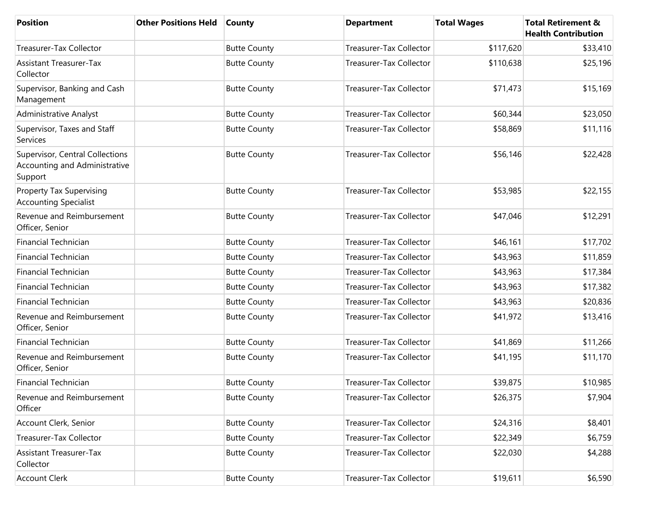| Position                                                                    | <b>Other Positions Held</b> | <b>County</b>       | <b>Department</b>              | <b>Total Wages</b> | <b>Total Retirement &amp;</b><br><b>Health Contribution</b> |
|-----------------------------------------------------------------------------|-----------------------------|---------------------|--------------------------------|--------------------|-------------------------------------------------------------|
| Treasurer-Tax Collector                                                     |                             | <b>Butte County</b> | <b>Treasurer-Tax Collector</b> | \$117,620          | \$33,410                                                    |
| <b>Assistant Treasurer-Tax</b><br>Collector                                 |                             | <b>Butte County</b> | <b>Treasurer-Tax Collector</b> | \$110,638          | \$25,196                                                    |
| Supervisor, Banking and Cash<br>Management                                  |                             | <b>Butte County</b> | Treasurer-Tax Collector        | \$71,473           | \$15,169                                                    |
| <b>Administrative Analyst</b>                                               |                             | <b>Butte County</b> | <b>Treasurer-Tax Collector</b> | \$60,344           | \$23,050                                                    |
| Supervisor, Taxes and Staff<br>Services                                     |                             | <b>Butte County</b> | Treasurer-Tax Collector        | \$58,869           | \$11,116                                                    |
| Supervisor, Central Collections<br>Accounting and Administrative<br>Support |                             | <b>Butte County</b> | Treasurer-Tax Collector        | \$56,146           | \$22,428                                                    |
| <b>Property Tax Supervising</b><br><b>Accounting Specialist</b>             |                             | <b>Butte County</b> | Treasurer-Tax Collector        | \$53,985           | \$22,155                                                    |
| Revenue and Reimbursement<br>Officer, Senior                                |                             | <b>Butte County</b> | <b>Treasurer-Tax Collector</b> | \$47,046           | \$12,291                                                    |
| <b>Financial Technician</b>                                                 |                             | <b>Butte County</b> | Treasurer-Tax Collector        | \$46,161           | \$17,702                                                    |
| <b>Financial Technician</b>                                                 |                             | <b>Butte County</b> | Treasurer-Tax Collector        | \$43,963           | \$11,859                                                    |
| <b>Financial Technician</b>                                                 |                             | <b>Butte County</b> | Treasurer-Tax Collector        | \$43,963           | \$17,384                                                    |
| <b>Financial Technician</b>                                                 |                             | <b>Butte County</b> | Treasurer-Tax Collector        | \$43,963           | \$17,382                                                    |
| <b>Financial Technician</b>                                                 |                             | <b>Butte County</b> | Treasurer-Tax Collector        | \$43,963           | \$20,836                                                    |
| Revenue and Reimbursement<br>Officer, Senior                                |                             | <b>Butte County</b> | Treasurer-Tax Collector        | \$41,972           | \$13,416                                                    |
| <b>Financial Technician</b>                                                 |                             | <b>Butte County</b> | Treasurer-Tax Collector        | \$41,869           | \$11,266                                                    |
| Revenue and Reimbursement<br>Officer, Senior                                |                             | <b>Butte County</b> | Treasurer-Tax Collector        | \$41,195           | \$11,170                                                    |
| <b>Financial Technician</b>                                                 |                             | <b>Butte County</b> | Treasurer-Tax Collector        | \$39,875           | \$10,985                                                    |
| Revenue and Reimbursement<br>Officer                                        |                             | <b>Butte County</b> | Treasurer-Tax Collector        | \$26,375           | \$7,904                                                     |
| Account Clerk, Senior                                                       |                             | <b>Butte County</b> | Treasurer-Tax Collector        | \$24,316           | \$8,401                                                     |
| Treasurer-Tax Collector                                                     |                             | <b>Butte County</b> | Treasurer-Tax Collector        | \$22,349           | \$6,759                                                     |
| <b>Assistant Treasurer-Tax</b><br>Collector                                 |                             | <b>Butte County</b> | Treasurer-Tax Collector        | \$22,030           | \$4,288                                                     |
| <b>Account Clerk</b>                                                        |                             | <b>Butte County</b> | Treasurer-Tax Collector        | \$19,611           | \$6,590                                                     |